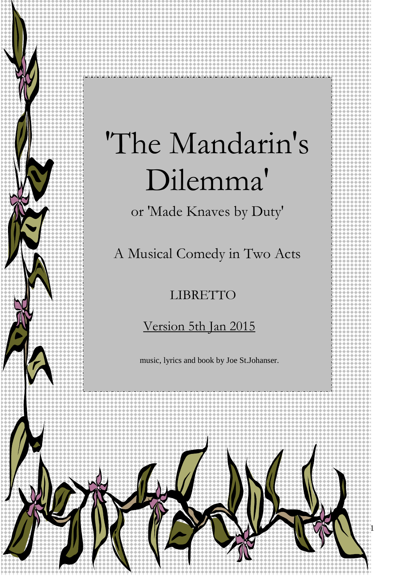# 'The Mandarin's Dilemma'

or 'Made Knaves by Duty'

A Musical Comedy in Two Acts

## LIBRETTO

## Version 5th Jan 2015

music, lyrics and book by Joe St.Johanser.

1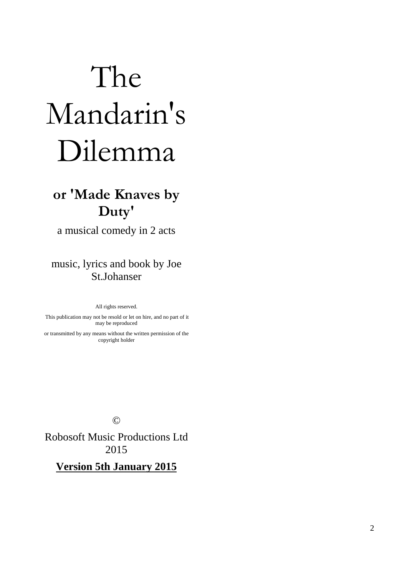# The Mandarin's Dilemma

# **or 'Made Knaves by Duty'**

a musical comedy in 2 acts

music, lyrics and book by Joe St.Johanser

All rights reserved.

 This publication may not be resold or let on hire, and no part of it may be reproduced

or transmitted by any means without the written permission of the copyright holder

©

Robosoft Music Productions Ltd 2015

**Version 5th January 2015**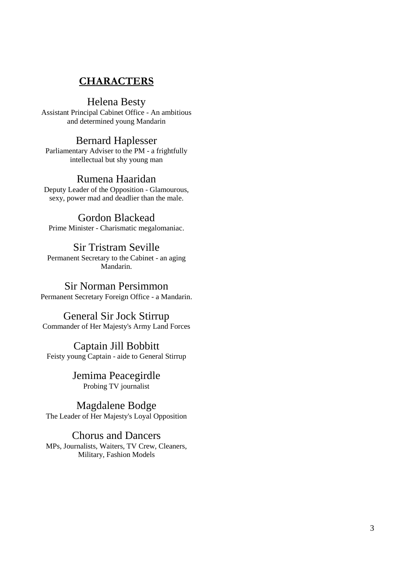## **CHARACTERS**

## Helena Besty

Assistant Principal Cabinet Office - An ambitious and determined young Mandarin

## Bernard Haplesser

Parliamentary Adviser to the PM - a frightfully intellectual but shy young man

## Rumena Haaridan

Deputy Leader of the Opposition - Glamourous, sexy, power mad and deadlier than the male.

## Gordon Blackead

Prime Minister - Charismatic megalomaniac.

## Sir Tristram Seville

Permanent Secretary to the Cabinet - an aging Mandarin.

## Sir Norman Persimmon

Permanent Secretary Foreign Office - a Mandarin.

## General Sir Jock Stirrup

Commander of Her Majesty's Army Land Forces

## Captain Jill Bobbitt

Feisty young Captain - aide to General Stirrup

Jemima Peacegirdle Probing TV journalist

## Magdalene Bodge

The Leader of Her Majesty's Loyal Opposition

## Chorus and Dancers

MPs, Journalists, Waiters, TV Crew, Cleaners, Military, Fashion Models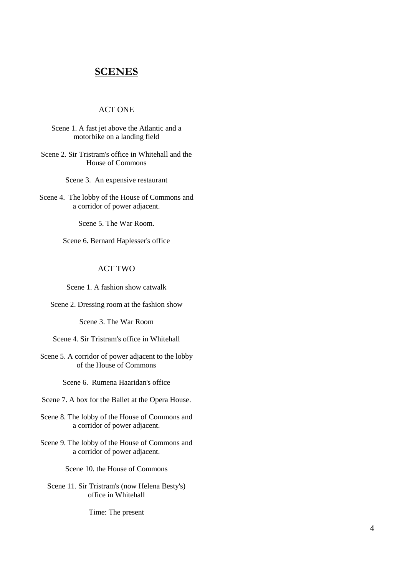## **SCENES**

#### ACT ONE

Scene 1. A fast jet above the Atlantic and a motorbike on a landing field

Scene 2. Sir Tristram's office in Whitehall and the House of Commons

Scene 3. An expensive restaurant

Scene 4. The lobby of the House of Commons and a corridor of power adjacent.

Scene 5. The War Room.

Scene 6. Bernard Haplesser's office

## ACT TWO

Scene 1. A fashion show catwalk

Scene 2. Dressing room at the fashion show

Scene 3. The War Room

Scene 4. Sir Tristram's office in Whitehall

Scene 5. A corridor of power adjacent to the lobby of the House of Commons

Scene 6. Rumena Haaridan's office

Scene 7. A box for the Ballet at the Opera House.

Scene 8. The lobby of the House of Commons and a corridor of power adjacent.

Scene 9. The lobby of the House of Commons and a corridor of power adjacent.

Scene 10. the House of Commons

Scene 11. Sir Tristram's (now Helena Besty's) office in Whitehall

Time: The present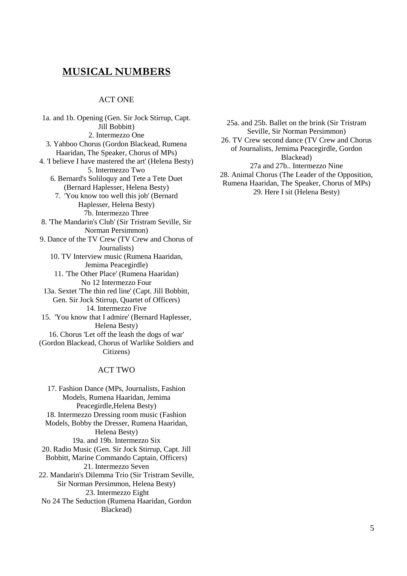## **MUSICAL NUMBERS**

#### ACT ONE

1a. and 1b. Opening (Gen. Sir Jock Stirrup, Capt. Jill Bobbitt) 2. Intermezzo One 3. Yahboo Chorus (Gordon Blackead, Rumena Haaridan, The Speaker, Chorus of MPs) 4. 'I believe I have mastered the art' (Helena Besty) 5. Intermezzo Two 6. Bernard's Soliloquy and Tete a Tete Duet (Bernard Haplesser, Helena Besty) 7. 'You know too well this job' (Bernard Haplesser, Helena Besty) 7b. Intermezzo Three 8. 'The Mandarin's Club' (Sir Tristram Seville, Sir Norman Persimmon) 9. Dance of the TV Crew (TV Crew and Chorus of Journalists) 10. TV Interview music (Rumena Haaridan, Jemima Peacegirdle) 11. 'The Other Place' (Rumena Haaridan) No 12 Intermezzo Four 13a. Sextet 'The thin red line' (Capt. Jill Bobbitt, Gen. Sir Jock Stirrup, Quartet of Officers) 14. Intermezzo Five 15. 'You know that I admire' (Bernard Haplesser, Helena Besty) 16. Chorus 'Let off the leash the dogs of war' (Gordon Blackead, Chorus of Warlike Soldiers and Citizens)

#### ACT TWO

17. Fashion Dance (MPs, Journalists, Fashion Models, Rumena Haaridan, Jemima Peacegirdle,Helena Besty) 18. Intermezzo Dressing room music (Fashion Models, Bobby the Dresser, Rumena Haaridan, Helena Besty) 19a. and 19b. Intermezzo Six 20. Radio Music (Gen. Sir Jock Stirrup, Capt. Jill Bobbitt, Marine Commando Captain, Officers) 21. Intermezzo Seven 22. Mandarin's Dilemma Trio (Sir Tristram Seville, Sir Norman Persimmon, Helena Besty) 23. Intermezzo Eight No 24 The Seduction (Rumena Haaridan, Gordon Blackead)

25a. and 25b. Ballet on the brink (Sir Tristram Seville, Sir Norman Persimmon) 26. TV Crew second dance (TV Crew and Chorus of Journalists, Jemima Peacegirdle, Gordon Blackead) 27a and 27b.. Intermezzo Nine 28. Animal Chorus (The Leader of the Opposition, Rumena Haaridan, The Speaker, Chorus of MPs) 29. Here I sit (Helena Besty)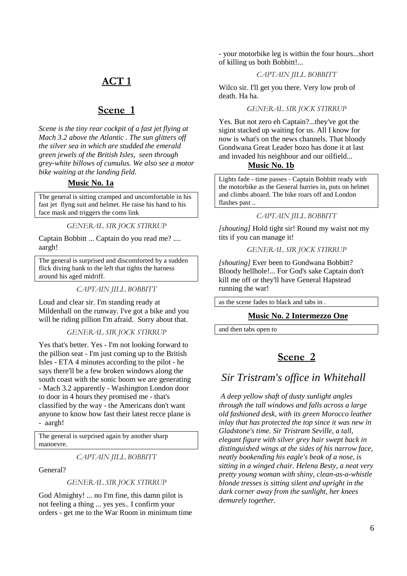## **ACT 1**

## **Scene 1**

*Scene is the tiny rear cockpit of a fast jet flying at Mach 3.2 above the Atlantic . The sun glitters off the silver sea in which are studded the emerald green jewels of the British Isles, seen through grey-white billows of cumulus. We also see a motor bike waiting at the landing field.* 

#### **Music No. 1a**

The general is sitting cramped and uncomfortable in his fast jet flyng suit and helmet. He raise his hand to his face mask and triggers the coms link

*GENERAL SIR JOCK STIRRUP* 

Captain Bobbitt ... Captain do you read me? .... aargh!

The general is surprised and discomforted by a sudden flick diving bank to the left that tights the harness around his aged midriff.

#### *CAPTAIN JILL BOBBITT*

Loud and clear sir. I'm standing ready at Mildenhall on the runway. I've got a bike and you will be riding pillion I'm afraid. Sorry about that.

#### *GENERAL SIR JOCK STIRRUP*

Yes that's better. Yes - I'm not looking forward to the pillion seat - I'm just coming up to the British Isles - ETA 4 minutes according to the pilot - he says there'll be a few broken windows along the south coast with the sonic boom we are generating - Mach 3.2 apparently - Washington London door to door in 4 hours they promised me - that's classified by the way - the Americans don't want anyone to know how fast their latest recce plane is - aargh!

The general is surprised again by another sharp manoevre.

*CAPTAIN JILL BOBBITT* 

General?

#### *GENERAL SIR JOCK STIRRUP*

God Almighty! ... no I'm fine, this damn pilot is not feeling a thing ... yes yes.. I confirm your orders - get me to the War Room in minimum time - your motorbike leg is within the four hours...short of killing us both Bobbitt!...

#### *CAPTAIN JILL BOBBITT*

Wilco sir. I'll get you there. Very low prob of death. Ha ha.

#### *GENERAL SIR JOCK STIRRUP*

Yes. But not zero eh Captain?...they've got the sigint stacked up waiting for us. All I know for now is what's on the news channels. That bloody Gondwana Great Leader bozo has done it at last and invaded his neighbour and our oilfield...

#### **Music No. 1b**

Lights fade - time passes - Captain Bobbitt ready with the motorbike as the General hurries in, puts on helmet and climbs aboard. The bike roars off and London flashes past ..

#### *CAPTAIN JILL BOBBITT*

*[shouting]* Hold tight sir! Round my waist not my tits if you can manage it!

#### *GENERAL SIR JOCK STIRRUP*

*[shouting]* Ever been to Gondwana Bobbitt? Bloody hellhole!... For God's sake Captain don't kill me off or they'll have General Hapstead running the war!

as the scene fades to black and tabs in .

#### **Music No. 2 Intermezzo One**

and then tabs open to

## **Scene 2**

## *Sir Tristram's office in Whitehall*

 *A deep yellow shaft of dusty sunlight angles through the tall windows and falls across a large old fashioned desk, with its green Morocco leather inlay that has protected the top since it was new in Gladstone's time. Sir Tristram Seville, a tall, elegant figure with silver grey hair swept back in distinguished wings at the sides of his narrow face, neatly bookending his eagle's beak of a nose, is sitting in a winged chair. Helena Besty, a neat very pretty young woman with shiny, clean-as-a-whistle blonde tresses is sitting silent and upright in the dark corner away from the sunlight, her knees demurely together.*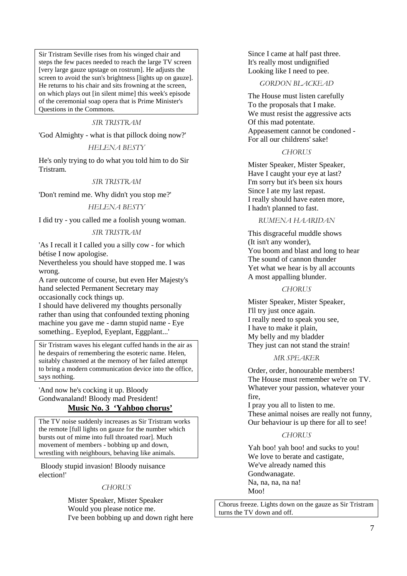Sir Tristram Seville rises from his winged chair and steps the few paces needed to reach the large TV screen [very large gauze upstage on rostrum]. He adjusts the screen to avoid the sun's brightness [lights up on gauze]. He returns to his chair and sits frowning at the screen, on which plays out [in silent mime] this week's episode of the ceremonial soap opera that is Prime Minister's Questions in the Commons.

#### *SIR TRISTRAM*

'God Almighty - what is that pillock doing now?'

#### *HELENA BESTY*

He's only trying to do what you told him to do Sir Tristram.

#### *SIR TRISTRAM*

'Don't remind me. Why didn't you stop me?'

#### *HELENA BESTY*

I did try - you called me a foolish young woman.

#### *SIR TRISTRAM*

'As I recall it I called you a silly cow - for which bétise I now apologise.

Nevertheless you should have stopped me. I was wrong.

A rare outcome of course, but even Her Majesty's hand selected Permanent Secretary may occasionally cock things up.

I should have delivered my thoughts personally rather than using that confounded texting phoning machine you gave me - damn stupid name - Eye something.. Eyeplod, Eyeplant, Eggplant...'

Sir Tristram waves his elegant cuffed hands in the air as he despairs of remembering the esoteric name. Helen, suitably chastened at the memory of her failed attempt to bring a modern communication device into the office, says nothing.

'And now he's cocking it up. Bloody Gondwanaland! Bloody mad President! **Music No. 3 'Yahboo chorus'**

The TV noise suddenly increases as Sir Tristram works the remote [full lights on gauze for the number which bursts out of mime into full throated roar]. Much movement of members - bobbing up and down, wrestling with neighbours, behaving like animals.

 Bloody stupid invasion! Bloody nuisance election!'

#### *CHORUS*

Mister Speaker, Mister Speaker Would you please notice me. I've been bobbing up and down right here Since I came at half past three. It's really most undignified Looking like I need to pee.

#### *GORDON BLACKEAD*

The House must listen carefully To the proposals that I make. We must resist the aggressive acts Of this mad potentate. Appeasement cannot be condoned - For all our childrens' sake!

#### *CHORUS*

Mister Speaker, Mister Speaker, Have I caught your eye at last? I'm sorry but it's been six hours Since I ate my last repast. I really should have eaten more, I hadn't planned to fast.

#### *RUMENA HAARIDAN*

This disgraceful muddle shows (It isn't any wonder), You boom and blast and long to hear The sound of cannon thunder Yet what we hear is by all accounts A most appalling blunder.

#### *CHORUS*

Mister Speaker, Mister Speaker, I'll try just once again. I really need to speak you see, I have to make it plain, My belly and my bladder They just can not stand the strain!

#### *MR SPEAKER*

Order, order, honourable members! The House must remember we're on TV. Whatever your passion, whatever your fire,

I pray you all to listen to me. These animal noises are really not funny, Our behaviour is up there for all to see!

#### *CHORUS*

Yah boo! yah boo! and sucks to you! We love to berate and castigate, We've already named this Gondwanagate. Na, na, na, na na! Moo!

Chorus freeze. Lights down on the gauze as Sir Tristram turns the TV down and off.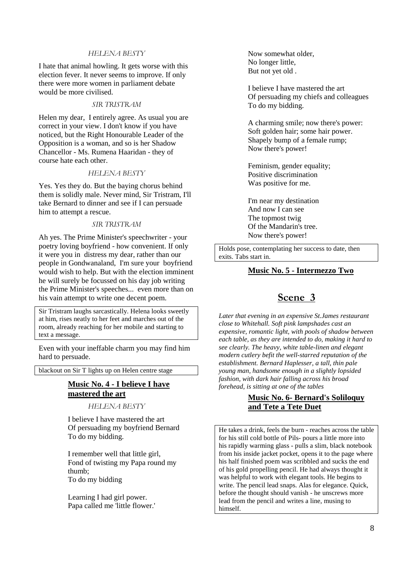#### *HELENA BESTY*

I hate that animal howling. It gets worse with this election fever. It never seems to improve. If only there were more women in parliament debate would be more civilised.

#### *SIR TRISTRAM*

Helen my dear, I entirely agree. As usual you are correct in your view. I don't know if you have noticed, but the Right Honourable Leader of the Opposition is a woman, and so is her Shadow Chancellor - Ms. Rumena Haaridan - they of course hate each other.

#### *HELENA BESTY*

Yes. Yes they do. But the baying chorus behind them is solidly male. Never mind, Sir Tristram, I'll take Bernard to dinner and see if I can persuade him to attempt a rescue.

#### *SIR TRISTRAM*

Ah yes. The Prime Minister's speechwriter - your poetry loving boyfriend - how convenient. If only it were you in distress my dear, rather than our people in Gondwanaland, I'm sure your boyfriend would wish to help. But with the election imminent he will surely be focussed on his day job writing the Prime Minister's speeches... even more than on his vain attempt to write one decent poem.

Sir Tristram laughs sarcastically. Helena looks sweetly at him, rises neatly to her feet and marches out of the room, already reaching for her mobile and starting to text a message.

Even with your ineffable charm you may find him hard to persuade.

blackout on Sir T lights up on Helen centre stage

## **Music No. 4 - I believe I have mastered the art**

*HELENA BESTY* 

I believe I have mastered the art Of persuading my boyfriend Bernard To do my bidding.

I remember well that little girl, Fond of twisting my Papa round my thumb; To do my bidding

Learning I had girl power. Papa called me 'little flower.' Now somewhat older, No longer little, But not yet old .

I believe I have mastered the art Of persuading my chiefs and colleagues To do my bidding.

A charming smile; now there's power: Soft golden hair; some hair power. Shapely bump of a female rump; Now there's power!

Feminism, gender equality; Positive discrimination Was positive for me.

I'm near my destination And now I can see The topmost twig Of the Mandarin's tree. Now there's power!

Holds pose, contemplating her success to date, then exits. Tabs start in.

#### **Music No. 5 - Intermezzo Two**

## **Scene 3**

*Later that evening in an expensive St.James restaurant close to Whitehall. Soft pink lampshades cast an expensive, romantic light, with pools of shadow between each table, as they are intended to do, making it hard to see clearly. The heavy, white table-linen and elegant modern cutlery befit the well-starred reputation of the establishment. Bernard Haplesser, a tall, thin pale young man, handsome enough in a slightly lopsided fashion, with dark hair falling across his broad forehead, is sitting at one of the tables* 

#### **Music No. 6- Bernard's Soliloquy and Tete a Tete Duet**

He takes a drink, feels the burn - reaches across the table for his still cold bottle of Pils- pours a little more into his rapidly warming glass - pulls a slim, black notebook from his inside jacket pocket, opens it to the page where his half finished poem was scribbled and sucks the end of his gold propelling pencil. He had always thought it was helpful to work with elegant tools. He begins to write. The pencil lead snaps. Alas for elegance. Quick, before the thought should vanish - he unscrews more lead from the pencil and writes a line, musing to himself.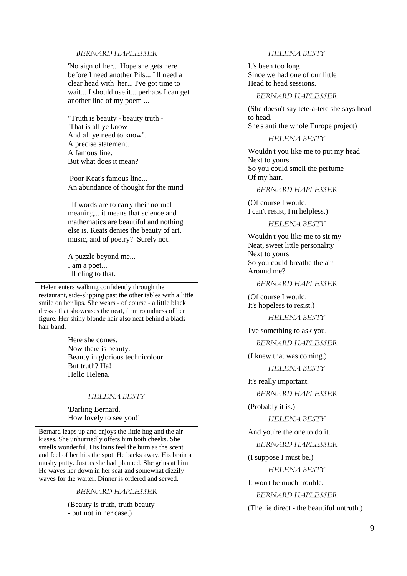#### *BERNARD HAPLESSER*

'No sign of her... Hope she gets here before I need another Pils... I'll need a clear head with her... I've got time to wait... I should use it... perhaps I can get another line of my poem ...

"Truth is beauty - beauty truth - That is all ye know And all ye need to know". A precise statement. A famous line. But what does it mean?

 Poor Keat's famous line... An abundance of thought for the mind

 If words are to carry their normal meaning... it means that science and mathematics are beautiful and nothing else is. Keats denies the beauty of art, music, and of poetry? Surely not.

A puzzle beyond me... I am a poet... I'll cling to that.

 Helen enters walking confidently through the restaurant, side-slipping past the other tables with a little smile on her lips. She wears - of course - a little black dress - that showcases the neat, firm roundness of her figure. Her shiny blonde hair also neat behind a black hair band.

> Here she comes. Now there is beauty. Beauty in glorious technicolour. But truth? Ha! Hello Helena.

#### *HELENA BESTY*

'Darling Bernard. How lovely to see you!'

Bernard leaps up and enjoys the little hug and the airkisses. She unhurriedly offers him both cheeks. She smells wonderful. His loins feel the burn as the scent and feel of her hits the spot. He backs away. His brain a mushy putty. Just as she had planned. She grins at him. He waves her down in her seat and somewhat dizzily waves for the waiter. Dinner is ordered and served.

*BERNARD HAPLESSER* 

(Beauty is truth, truth beauty - but not in her case.)

#### *HELENA BESTY*

It's been too long Since we had one of our little Head to head sessions.

#### *BERNARD HAPLESSER*

(She doesn't say tete-a-tete she says head to head. She's anti the whole Europe project)

#### *HELENA BESTY*

Wouldn't you like me to put my head Next to yours So you could smell the perfume Of my hair.

#### *BERNARD HAPLESSER*

(Of course I would. I can't resist, I'm helpless.)

#### *HELENA BESTY*

Wouldn't you like me to sit my Neat, sweet little personality Next to yours So you could breathe the air Around me?

#### *BERNARD HAPLESSER*

(Of course I would. It's hopeless to resist.)

*HELENA BESTY* 

I've something to ask you.

*BERNARD HAPLESSER* 

(I knew that was coming.)

*HELENA BESTY* 

It's really important. *BERNARD HAPLESSER* 

#### (Probably it is.)

*HELENA BESTY* 

And you're the one to do it. *BERNARD HAPLESSER* 

(I suppose I must be.)

*HELENA BESTY* 

It won't be much trouble.

*BERNARD HAPLESSER* 

(The lie direct - the beautiful untruth.)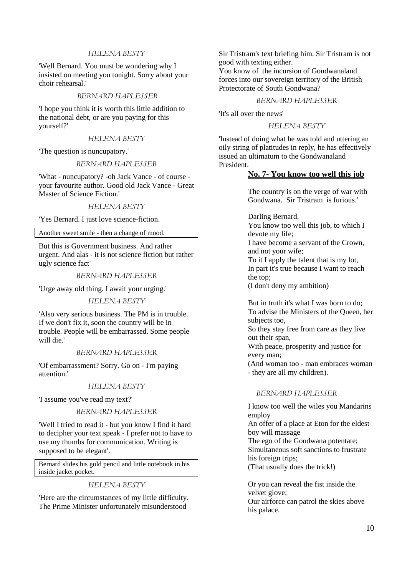#### *HELENA BESTY*

'Well Bernard. You must be wondering why I insisted on meeting you tonight. Sorry about your choir rehearsal.'

#### *BERNARD HAPLESSER*

'I hope you think it is worth this little addition to the national debt, or are you paying for this yourself?'

#### *HELENA BESTY*

'The question is nuncupatory.'

#### *BERNARD HAPLESSER*

'What - nuncupatory? -oh Jack Vance - of course your favourite author. Good old Jack Vance - Great Master of Science Fiction.'

*HELENA BESTY* 

'Yes Bernard. I just love science-fiction.

Another sweet smile - then a change of mood.

But this is Government business. And rather urgent. And alas - it is not science fiction but rather ugly science fact'

#### *BERNARD HAPLESSER*

'Urge away old thing. I await your urging.'

#### *HELENA BESTY*

'Also very serious business. The PM is in trouble. If we don't fix it, soon the country will be in trouble. People will be embarrassed. Some people will die.'

#### *BERNARD HAPLESSER*

'Of embarrassment? Sorry. Go on - I'm paying attention.'

#### *HELENA BESTY*

'I assume you've read my text?'

#### *BERNARD HAPLESSER*

'Well I tried to read it - but you know I find it hard to decipher your text speak - I prefer not to have to use my thumbs for communication. Writing is supposed to be elegant'.

Bernard slides his gold pencil and little notebook in his inside jacket pocket.

#### *HELENA BESTY*

'Here are the circumstances of my little difficulty. The Prime Minister unfortunately misunderstood

Sir Tristram's text briefing him. Sir Tristram is not good with texting either.

You know of the incursion of Gondwanaland forces into our sovereign territory of the British Protectorate of South Gondwana?

#### *BERNARD HAPLESSER*

'It's all over the news'

#### *HELENA BESTY*

'Instead of doing what he was told and uttering an oily string of platitudes in reply, he has effectively issued an ultimatum to the Gondwanaland President.

#### **No. 7- You know too well this job**

The country is on the verge of war with Gondwana. Sir Tristram is furious.'

Darling Bernard. You know too well this job, to which I devote my life; I have become a servant of the Crown, and not your wife; To it I apply the talent that is my lot, In part it's true because I want to reach the top; (I don't deny my ambition)

But in truth it's what I was born to do; To advise the Ministers of the Queen, her subjects too, So they stay free from care as they live out their span, With peace, prosperity and justice for every man; (And woman too - man embraces woman

- they are all my children).

#### *BERNARD HAPLESSER*

I know too well the wiles you Mandarins employ An offer of a place at Eton for the eldest boy will massage The ego of the Gondwana potentate; Simultaneous soft sanctions to frustrate his foreign trips; (That usually does the trick!)

Or you can reveal the fist inside the velvet glove; Our airforce can patrol the skies above his palace.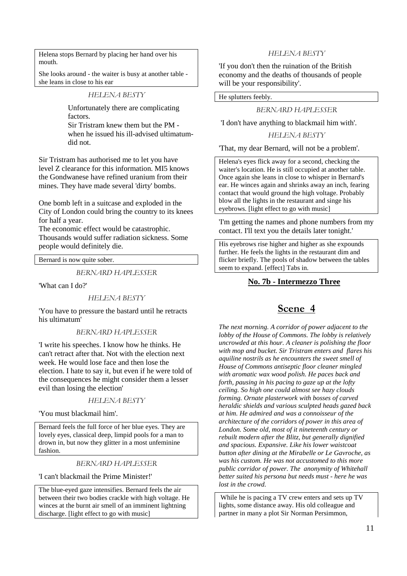Helena stops Bernard by placing her hand over his mouth.

She looks around - the waiter is busy at another table she leans in close to his ear

#### *HELENA BESTY*

Unfortunately there are complicating factors.

Sir Tristram knew them but the PM when he issued his ill-advised ultimatumdid not.

Sir Tristram has authorised me to let you have level Z clearance for this information. MI5 knows the Gondwanese have refined uranium from their mines. They have made several 'dirty' bombs.

One bomb left in a suitcase and exploded in the City of London could bring the country to its knees for half a year.

The economic effect would be catastrophic. Thousands would suffer radiation sickness. Some people would definitely die.

Bernard is now quite sober.

*BERNARD HAPLESSER* 

'What can I do?'

#### *HELENA BESTY*

'You have to pressure the bastard until he retracts his ultimatum'

#### *BERNARD HAPLESSER*

'I write his speeches. I know how he thinks. He can't retract after that. Not with the election next week. He would lose face and then lose the election. I hate to say it, but even if he were told of the consequences he might consider them a lesser evil than losing the election'

#### *HELENA BESTY*

'You must blackmail him'.

Bernard feels the full force of her blue eyes. They are lovely eyes, classical deep, limpid pools for a man to drown in, but now they glitter in a most unfeminine fashion.

#### *BERNARD HAPLESSER*

'I can't blackmail the Prime Minister!'

The blue-eyed gaze intensifies. Bernard feels the air between their two bodies crackle with high voltage. He winces at the burnt air smell of an imminent lightning discharge. [light effect to go with music]

#### *HELENA BESTY*

'If you don't then the ruination of the British economy and the deaths of thousands of people will be your responsibility'.

He splutters feebly.

#### *BERNARD HAPLESSER*

'I don't have anything to blackmail him with'.

#### *HELENA BESTY*

'That, my dear Bernard, will not be a problem'.

Helena's eyes flick away for a second, checking the waiter's location. He is still occupied at another table. Once again she leans in close to whisper in Bernard's ear. He winces again and shrinks away an inch, fearing contact that would ground the high voltage. Probably blow all the lights in the restaurant and singe his eyebrows. [light effect to go with music]

'I'm getting the names and phone numbers from my contact. I'll text you the details later tonight.'

His eyebrows rise higher and higher as she expounds further. He feels the lights in the restaurant dim and flicker briefly. The pools of shadow between the tables seem to expand. [effect] Tabs in.

#### **No. 7b - Intermezzo Three**

## **Scene 4**

*The next morning. A corridor of power adjacent to the lobby of the House of Commons. The lobby is relatively uncrowded at this hour. A cleaner is polishing the floor with mop and bucket. Sir Tristram enters and flares his aquiline nostrils as he encounters the sweet smell of House of Commons antiseptic floor cleaner mingled with aromatic wax wood polish. He paces back and forth, pausing in his pacing to gaze up at the lofty ceiling. So high one could almost see hazy clouds forming. Ornate plasterwork with bosses of carved heraldic shields and various sculpted heads gazed back at him. He admired and was a connoisseur of the architecture of the corridors of power in this area of London. Some old, most of it nineteenth century or rebuilt modern after the Blitz, but generally dignified and spacious. Expansive. Like his lower waistcoat button after dining at the Mirabelle or Le Gavroche, as was his custom. He was not accustomed to this more public corridor of power. The anonymity of Whitehall better suited his persona but needs must - here he was lost in the crowd.* 

 While he is pacing a TV crew enters and sets up TV lights, some distance away. His old colleague and partner in many a plot Sir Norman Persimmon,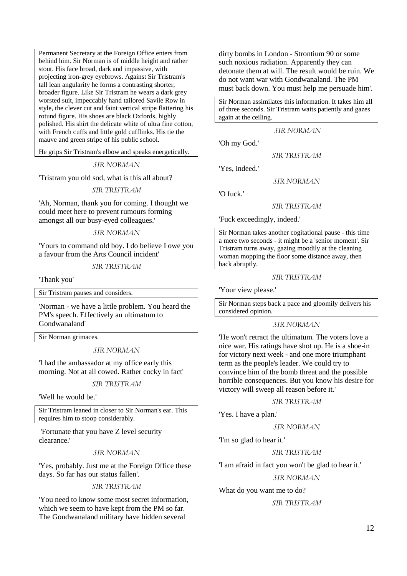Permanent Secretary at the Foreign Office enters from behind him. Sir Norman is of middle height and rather stout. His face broad, dark and impassive, with projecting iron-grey eyebrows. Against Sir Tristram's tall lean angularity he forms a contrasting shorter, broader figure. Like Sir Tristram he wears a dark grey worsted suit, impeccably hand tailored Savile Row in style, the clever cut and faint vertical stripe flattering his rotund figure. His shoes are black Oxfords, highly polished. His shirt the delicate white of ultra fine cotton, with French cuffs and little gold cufflinks. His tie the mauve and green stripe of his public school.

He grips Sir Tristram's elbow and speaks energetically.

#### *SIR NORMAN*

'Tristram you old sod, what is this all about?

#### *SIR TRISTRAM*

'Ah, Norman, thank you for coming. I thought we could meet here to prevent rumours forming amongst all our busy-eyed colleagues.'

#### *SIR NORMAN*

'Yours to command old boy. I do believe I owe you a favour from the Arts Council incident'

*SIR TRISTRAM* 

'Thank you'

Sir Tristram pauses and considers.

'Norman - we have a little problem. You heard the PM's speech. Effectively an ultimatum to Gondwanaland'

Sir Norman grimaces.

*SIR NORMAN* 

'I had the ambassador at my office early this morning. Not at all cowed. Rather cocky in fact'

#### *SIR TRISTRAM*

'Well he would be.'

Sir Tristram leaned in closer to Sir Norman's ear. This requires him to stoop considerably.

 'Fortunate that you have Z level security clearance.'

#### *SIR NORMAN*

'Yes, probably. Just me at the Foreign Office these days. So far has our status fallen'.

*SIR TRISTRAM* 

'You need to know some most secret information, which we seem to have kept from the PM so far. The Gondwanaland military have hidden several

dirty bombs in London - Strontium 90 or some such noxious radiation. Apparently they can detonate them at will. The result would be ruin. We do not want war with Gondwanaland. The PM must back down. You must help me persuade him'.

Sir Norman assimilates this information. It takes him all of three seconds. Sir Tristram waits patiently and gazes again at the ceiling.

 *SIR NORMAN* 

'Oh my God.'

*SIR TRISTRAM* 

'Yes, indeed.'

*SIR NORMAN* 

'O fuck.'

*SIR TRISTRAM* 

'Fuck exceedingly, indeed.'

Sir Norman takes another cogitational pause - this time a mere two seconds - it might be a 'senior moment'. Sir Tristram turns away, gazing moodily at the cleaning woman mopping the floor some distance away, then back abruptly.

#### *SIR TRISTRAM*

'Your view please.'

Sir Norman steps back a pace and gloomily delivers his considered opinion.

#### *SIR NORMAN*

'He won't retract the ultimatum. The voters love a nice war. His ratings have shot up. He is a shoe-in for victory next week - and one more triumphant term as the people's leader. We could try to convince him of the bomb threat and the possible horrible consequences. But you know his desire for victory will sweep all reason before it.'

#### *SIR TRISTRAM*

'Yes. I have a plan.'

#### *SIR NORMAN*

'I'm so glad to hear it.'

#### *SIR TRISTRAM*

'I am afraid in fact you won't be glad to hear it.'

#### *SIR NORMAN*

What do you want me to do?

#### *SIR TRISTRAM*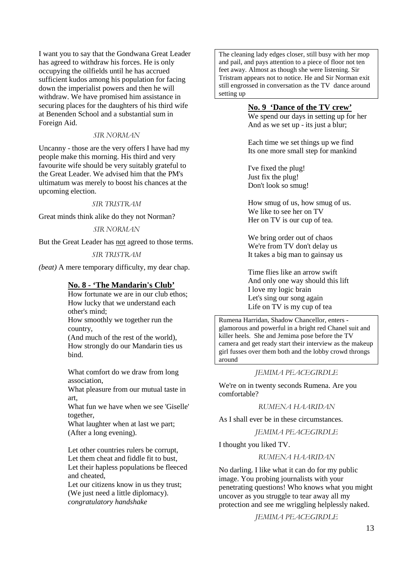I want you to say that the Gondwana Great Leader has agreed to withdraw his forces. He is only occupying the oilfields until he has accrued sufficient kudos among his population for facing down the imperialist powers and then he will withdraw. We have promised him assistance in securing places for the daughters of his third wife at Benenden School and a substantial sum in Foreign Aid.

#### *SIR NORMAN*

Uncanny - those are the very offers I have had my people make this morning. His third and very favourite wife should be very suitably grateful to the Great Leader. We advised him that the PM's ultimatum was merely to boost his chances at the upcoming election.

#### *SIR TRISTRAM*

Great minds think alike do they not Norman?

#### *SIR NORMAN*

But the Great Leader has not agreed to those terms.

#### *SIR TRISTRAM*

*(beat)* A mere temporary difficulty, my dear chap.

#### **No. 8 - 'The Mandarin's Club'**

How fortunate we are in our club ethos; How lucky that we understand each other's mind;

How smoothly we together run the country,

(And much of the rest of the world), How strongly do our Mandarin ties us bind.

What comfort do we draw from long association,

What pleasure from our mutual taste in art,

What fun we have when we see 'Giselle' together,

What laughter when at last we part; (After a long evening).

Let other countries rulers be corrupt, Let them cheat and fiddle fit to bust, Let their hapless populations be fleeced and cheated,

Let our citizens know in us they trust: (We just need a little diplomacy). *congratulatory handshake* 

The cleaning lady edges closer, still busy with her mop and pail, and pays attention to a piece of floor not ten feet away. Almost as though she were listening. Sir Tristram appears not to notice. He and Sir Norman exit still engrossed in conversation as the TV dance around setting up

#### **No. 9 'Dance of the TV crew'**

We spend our days in setting up for her And as we set up - its just a blur;

Each time we set things up we find Its one more small step for mankind

I've fixed the plug! Just fix the plug! Don't look so smug!

How smug of us, how smug of us. We like to see her on TV Her on TV is our cup of tea.

We bring order out of chaos We're from TV don't delay us It takes a big man to gainsay us

Time flies like an arrow swift And only one way should this lift I love my logic brain Let's sing our song again Life on TV is my cup of tea

Rumena Harridan, Shadow Chancellor, enters glamorous and powerful in a bright red Chanel suit and killer heels. She and Jemima pose before the TV camera and get ready start their interview as the makeup girl fusses over them both and the lobby crowd throngs around

#### *JEMIMA PEACEGIRDLE*

We're on in twenty seconds Rumena. Are you comfortable?

*RUMENA HAARIDAN* 

As I shall ever be in these circumstances.

*JEMIMA PEACEGIRDLE* 

I thought you liked TV.

*RUMENA HAARIDAN* 

No darling. I like what it can do for my public image. You probing journalists with your penetrating questions! Who knows what you might uncover as you struggle to tear away all my protection and see me wriggling helplessly naked.

*JEMIMA PEACEGIRDLE*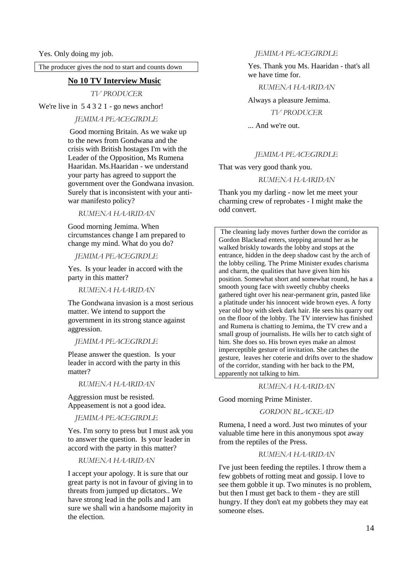The producer gives the nod to start and counts down

## **No 10 TV Interview Music**

*TV PRODUCER* 

We're live in 54321 - go news anchor!

*JEMIMA PEACEGIRDLE*

 Good morning Britain. As we wake up to the news from Gondwana and the crisis with British hostages I'm with the Leader of the Opposition, Ms Rumena Haaridan. Ms.Haaridan - we understand your party has agreed to support the government over the Gondwana invasion. Surely that is inconsistent with your antiwar manifesto policy?

*RUMENA HAARIDAN* 

Good morning Jemima. When circumstances change I am prepared to change my mind. What do you do?

*JEMIMA PEACEGIRDLE* 

Yes. Is your leader in accord with the party in this matter?

*RUMENA HAARIDAN* 

The Gondwana invasion is a most serious matter. We intend to support the government in its strong stance against aggression.

*JEMIMA PEACEGIRDLE* 

Please answer the question. Is your leader in accord with the party in this matter?

*RUMENA HAARIDAN* 

Aggression must be resisted. Appeasement is not a good idea.

*JEMIMA PEACEGIRDLE* 

Yes. I'm sorry to press but I must ask you to answer the question. Is your leader in accord with the party in this matter?

*RUMENA HAARIDAN* 

I accept your apology. It is sure that our great party is not in favour of giving in to threats from jumped up dictators.. We have strong lead in the polls and I am sure we shall win a handsome majority in the election.

*JEMIMA PEACEGIRDLE* 

Yes. Thank you Ms. Haaridan - that's all we have time for.

*RUMENA HAARIDAN* 

Always a pleasure Jemima.

*TV PRODUCER* 

... And we're out.

#### *JEMIMA PEACEGIRDLE*

That was very good thank you.

#### *RUMENA HAARIDAN*

Thank you my darling - now let me meet your charming crew of reprobates - I might make the odd convert.

 The cleaning lady moves further down the corridor as Gordon Blackead enters, stepping around her as he walked briskly towards the lobby and stops at the entrance, hidden in the deep shadow cast by the arch of the lobby ceiling. The Prime Minister exudes charisma and charm, the qualities that have given him his position. Somewhat short and somewhat round, he has a smooth young face with sweetly chubby cheeks gathered tight over his near-permanent grin, pasted like a platitude under his innocent wide brown eyes. A forty year old boy with sleek dark hair. He sees his quarry out on the floor of the lobby. The TV interview has finished and Rumena is chatting to Jemima, the TV crew and a small group of journalists. He wills her to catch sight of him. She does so. His brown eyes make an almost imperceptible gesture of invitation. She catches the gesture, leaves her coterie and drifts over to the shadow of the corridor, standing with her back to the PM, apparently not talking to him.

#### *RUMENA HAARIDAN*

Good morning Prime Minister.

*GORDON BLACKEAD* 

Rumena, I need a word. Just two minutes of your valuable time here in this anonymous spot away from the reptiles of the Press.

*RUMENA HAARIDAN* 

I've just been feeding the reptiles. I throw them a few gobbets of rotting meat and gossip. I love to see them gobble it up. Two minutes is no problem, but then I must get back to them - they are still hungry. If they don't eat my gobbets they may eat someone elses.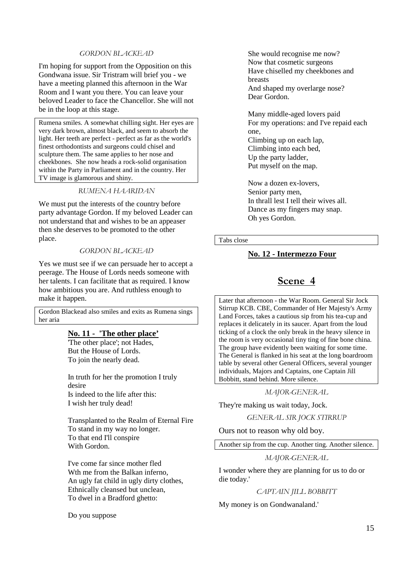#### *GORDON BLACKEAD*

I'm hoping for support from the Opposition on this Gondwana issue. Sir Tristram will brief you - we have a meeting planned this afternoon in the War Room and I want you there. You can leave your beloved Leader to face the Chancellor. She will not be in the loop at this stage.

Rumena smiles. A somewhat chilling sight. Her eyes are very dark brown, almost black, and seem to absorb the light. Her teeth are perfect - perfect as far as the world's finest orthodontists and surgeons could chisel and sculpture them. The same applies to her nose and cheekbones. She now heads a rock-solid organisation within the Party in Parliament and in the country. Her TV image is glamorous and shiny.

#### *RUMENA HAARIDAN*

We must put the interests of the country before party advantage Gordon. If my beloved Leader can not understand that and wishes to be an appeaser then she deserves to be promoted to the other place.

#### *GORDON BLACKEAD*

Yes we must see if we can persuade her to accept a peerage. The House of Lords needs someone with her talents. I can facilitate that as required. I know how ambitious you are. And ruthless enough to make it happen.

Gordon Blackead also smiles and exits as Rumena sings her aria

## **No. 11 - 'The other place'**

'The other place'; not Hades, But the House of Lords. To join the nearly dead.

In truth for her the promotion I truly desire Is indeed to the life after this: I wish her truly dead!

Transplanted to the Realm of Eternal Fire To stand in my way no longer. To that end I'll conspire With Gordon.

I've come far since mother fled Wth me from the Balkan inferno, An ugly fat child in ugly dirty clothes, Ethnically cleansed but unclean, To dwel in a Bradford ghetto:

Do you suppose

She would recognise me now? Now that cosmetic surgeons Have chiselled my cheekbones and breasts And shaped my overlarge nose? Dear Gordon.

Many middle-aged lovers paid For my operations: and I've repaid each one, Climbing up on each lap, Climbing into each bed,

Up the party ladder, Put myself on the map.

Now a dozen ex-lovers, Senior party men. In thrall lest I tell their wives all. Dance as my fingers may snap. Oh yes Gordon.

Tabs close

#### **No. 12 - Intermezzo Four**

## **Scene 4**

Later that afternoon - the War Room. General Sir Jock Stirrup KCB. CBE, Commander of Her Majesty's Army Land Forces, takes a cautious sip from his tea-cup and replaces it delicately in its saucer. Apart from the loud ticking of a clock the only break in the heavy silence in the room is very occasional tiny ting of fine bone china. The group have evidently been waiting for some time. The General is flanked in his seat at the long boardroom table by several other General Officers, several younger individuals, Majors and Captains, one Captain Jill Bobbitt, stand behind. More silence.

#### *MAJOR-GENERAL*

They're making us wait today, Jock.

*GENERAL SIR JOCK STIRRUP* 

Ours not to reason why old boy.

Another sip from the cup. Another ting. Another silence.

#### *MAJOR-GENERAL*

I wonder where they are planning for us to do or die today.'

*CAPTAIN JILL BOBBITT* 

My money is on Gondwanaland.'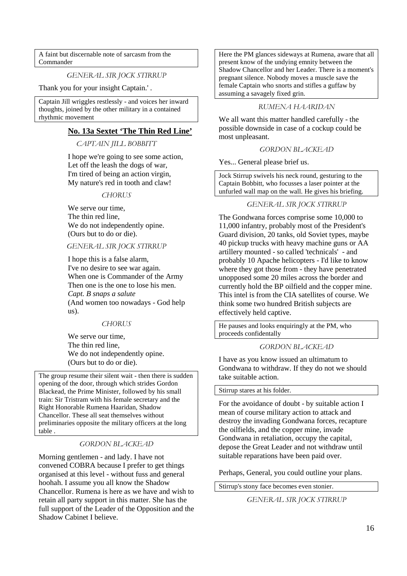A faint but discernable note of sarcasm from the Commander

*GENERAL SIR JOCK STIRRUP* 

Thank you for your insight Captain.' .

Captain Jill wriggles restlessly - and voices her inward thoughts, joined by the other military in a contained rhythmic movement

#### **No. 13a Sextet 'The Thin Red Line'**

*CAPTAIN JILL BOBBITT* 

I hope we're going to see some action, Let off the leash the dogs of war, I'm tired of being an action virgin, My nature's red in tooth and claw!

#### *CHORUS*

We serve our time. The thin red line, We do not independently opine. (Ours but to do or die).

#### *GENERAL SIR JOCK STIRRUP*

I hope this is a false alarm, I've no desire to see war again. When one is Commander of the Army Then one is the one to lose his men. *Capt. B snaps a salute*  (And women too nowadays - God help us).

#### *CHORUS*

We serve our time, The thin red line, We do not independently opine. (Ours but to do or die).

The group resume their silent wait - then there is sudden opening of the door, through which strides Gordon Blackead, the Prime Minister, followed by his small train: Sir Tristram with his female secretary and the Right Honorable Rumena Haaridan, Shadow Chancellor. These all seat themselves without preliminaries opposite the military officers at the long table .

#### *GORDON BLACKEAD*

Morning gentlemen - and lady. I have not convened COBRA because I prefer to get things organised at this level - without fuss and general hoohah. I assume you all know the Shadow Chancellor. Rumena is here as we have and wish to retain all party support in this matter. She has the full support of the Leader of the Opposition and the Shadow Cabinet I believe.

Here the PM glances sideways at Rumena, aware that all present know of the undying emnity between the Shadow Chancellor and her Leader. There is a moment's pregnant silence. Nobody moves a muscle save the female Captain who snorts and stifles a guffaw by assuming a savagely fixed grin.

#### *RUMENA HAARIDAN*

We all want this matter handled carefully - the possible downside in case of a cockup could be most unpleasant.

#### *GORDON BLACKEAD*

Yes... General please brief us.

Jock Stirrup swivels his neck round, gesturing to the Captain Bobbitt, who focusses a laser pointer at the unfurled wall map on the wall. He gives his briefing.

#### *GENERAL SIR JOCK STIRRUP*

The Gondwana forces comprise some 10,000 to 11,000 infantry, probably most of the President's Guard division, 20 tanks, old Soviet types, maybe 40 pickup trucks with heavy machine guns or AA artillery mounted - so called 'technicals' - and probably 10 Apache helicopters - I'd like to know where they got those from - they have penetrated unopposed some 20 miles across the border and currently hold the BP oilfield and the copper mine. This intel is from the CIA satellites of course. We think some two hundred British subjects are effectively held captive.

He pauses and looks enquiringly at the PM, who proceeds confidentally

*GORDON BLACKEAD* 

I have as you know issued an ultimatum to Gondwana to withdraw. If they do not we should take suitable action.

#### Stirrup stares at his folder.

For the avoidance of doubt - by suitable action I mean of course military action to attack and destroy the invading Gondwana forces, recapture the oilfields, and the copper mine, invade Gondwana in retaliation, occupy the capital, depose the Great Leader and not withdraw until suitable reparations have been paid over.

Perhaps, General, you could outline your plans.

Stirrup's stony face becomes even stonier.

*GENERAL SIR JOCK STIRRUP*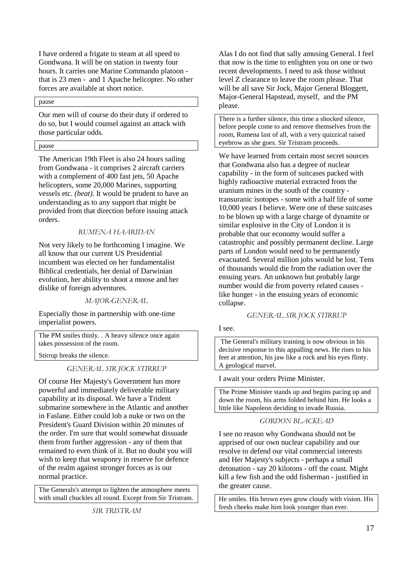I have ordered a frigate to steam at all speed to Gondwana. It will be on station in twenty four hours. It carries one Marine Commando platoon that is 23 men - and 1 Apache helicopter. No other forces are available at short notice.

#### pause

Our men will of course do their duty if ordered to do so, but I would counsel against an attack with those particular odds.

#### pause

The American 19th Fleet is also 24 hours sailing from Gondwana - it comprises 2 aircraft carriers with a complement of 400 fast jets, 50 Apache helicopters, some 20,000 Marines, supporting vessels etc. *(beat).* It would be prudent to have an understanding as to any support that might be provided from that direction before issuing attack orders.

#### *RUMENA HAARIDAN*

Not very likely to be forthcoming I imagine. We all know that our current US Presidential incumbent was elected on her fundamentalist Biblical credentials, her denial of Darwinian evolution, her ability to shoot a moose and her dislike of foreign adventures.

#### *MAJOR-GENERAL*

Especially those in partnership with one-time imperialist powers.

The PM smiles thinly. . A heavy silence once again takes possession of the room.

Stirrup breaks the silence.

#### *GENERAL SIR JOCK STIRRUP*

Of course Her Majesty's Government has more powerful and immediately deliverable military capability at its disposal. We have a Trident submarine somewhere in the Atlantic and another in Faslane. Either could lob a nuke or two on the President's Guard Division within 20 minutes of the order. I'm sure that would somewhat dissuade them from further aggression - any of them that remained to even think of it. But no doubt you will wish to keep that weaponry in reserve for defence of the realm against stronger forces as is our normal practice.

The Generals's attempt to lighten the atmosphere meets with small chuckles all round. Except from Sir Tristram.

*SIR TRISTRAM* 

Alas I do not find that sally amusing General. I feel that now is the time to enlighten you on one or two recent developments. I need to ask those without level Z clearance to leave the room please. That will be all save Sir Jock, Major General Bloggett, Major-General Hapstead, myself, and the PM please.

There is a further silence, this time a shocked silence, before people come to and remove themselves from the room, Rumena last of all, with a very quizzical raised eyebrow as she goes. Sir Tristram proceeds.

We have learned from certain most secret sources that Gondwana also has a degree of nuclear capability - in the form of suitcases packed with highly radioactive material extracted from the uranium mines in the south of the country transuranic isotopes - some with a half life of some 10,000 years I believe. Were one of these suitcases to be blown up with a large charge of dynamite or similar explosive in the City of London it is probable that our economy would suffer a catastrophic and possibly permanent decline. Large parts of London would need to be permanently evacuated. Several million jobs would be lost. Tens of thousands would die from the radiation over the ensuing years. An unknown but probably large number would die from poverty related causes like hunger - in the ensuing years of economic collapse.

#### *GENERAL SIR JOCK STIRRUP*

#### I see.

 The General's military training is now obvious in his decisive response to this appalling news. He rises to his feet at attention, his jaw like a rock and his eyes flinty. A geological marvel.

I await your orders Prime Minister.

The Prime Minister stands up and begins pacing up and down the room, his arms folded behind him. He looks a little like Napoleon deciding to invade Russia.

#### *GORDON BLACKEAD*

I see no reason why Gondwana should not be apprised of our own nuclear capability and our resolve to defend our vital commercial interests and Her Majesty's subjects - perhaps a small detonation - say 20 kilotons - off the coast. Might kill a few fish and the odd fisherman - justified in the greater cause.

He smiles. His brown eyes grow cloudy with vision. His fresh cheeks make him look younger than ever.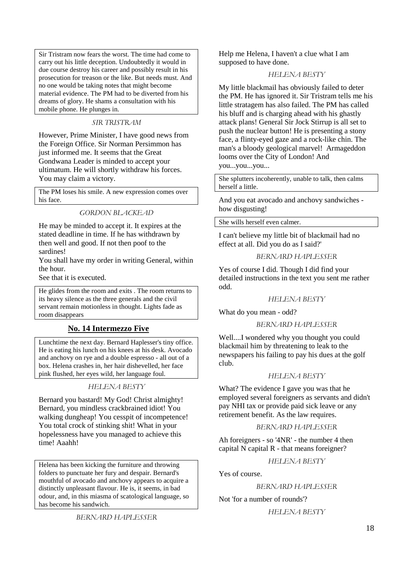Sir Tristram now fears the worst. The time had come to carry out his little deception. Undoubtedly it would in due course destroy his career and possibly result in his prosecution for treason or the like. But needs must. And no one would be taking notes that might become material evidence. The PM had to be diverted from his dreams of glory. He shams a consultation with his mobile phone. He plunges in.

#### *SIR TRISTRAM*

However, Prime Minister, I have good news from the Foreign Office. Sir Norman Persimmon has just informed me. It seems that the Great Gondwana Leader is minded to accept your ultimatum. He will shortly withdraw his forces. You may claim a victory.

The PM loses his smile. A new expression comes over his face.

*GORDON BLACKEAD* 

He may be minded to accept it. It expires at the stated deadline in time. If he has withdrawn by then well and good. If not then poof to the sardines!

You shall have my order in writing General, within the hour.

See that it is executed.

He glides from the room and exits . The room returns to its heavy silence as the three generals and the civil servant remain motionless in thought. Lights fade as room disappears

## **No. 14 Intermezzo Five**

Lunchtime the next day. Bernard Haplesser's tiny office. He is eating his lunch on his knees at his desk. Avocado and anchovy on rye and a double espresso - all out of a box. Helena crashes in, her hair dishevelled, her face pink flushed, her eyes wild, her language foul.

#### *HELENA BESTY*

Bernard you bastard! My God! Christ almighty! Bernard, you mindless crackbrained idiot! You walking dungheap! You cesspit of incompetence! You total crock of stinking shit! What in your hopelessness have you managed to achieve this time! Aaahh!

Helena has been kicking the furniture and throwing folders to punctuate her fury and despair. Bernard's mouthful of avocado and anchovy appears to acquire a distinctly unpleasant flavour. He is, it seems, in bad odour, and, in this miasma of scatological language, so has become his sandwich.

*BERNARD HAPLESSER* 

Help me Helena, I haven't a clue what I am supposed to have done.

#### *HELENA BESTY*

My little blackmail has obviously failed to deter the PM. He has ignored it. Sir Tristram tells me his little stratagem has also failed. The PM has called his bluff and is charging ahead with his ghastly attack plans! General Sir Jock Stirrup is all set to push the nuclear button! He is presenting a stony face, a flinty-eyed gaze and a rock-like chin. The man's a bloody geological marvel! Armageddon looms over the City of London! And you...you...you...

She splutters incoherently, unable to talk, then calms herself a little.

And you eat avocado and anchovy sandwiches how disgusting!

She wills herself even calmer.

I can't believe my little bit of blackmail had no effect at all. Did you do as I said?'

#### *BERNARD HAPLESSER*

Yes of course I did. Though I did find your detailed instructions in the text you sent me rather odd.

#### *HELENA BESTY*

What do you mean - odd?

#### *BERNARD HAPLESSER*

Well....I wondered why you thought you could blackmail him by threatening to leak to the newspapers his failing to pay his dues at the golf club.

#### *HELENA BESTY*

What? The evidence I gave you was that he employed several foreigners as servants and didn't pay NHI tax or provide paid sick leave or any retirement benefit. As the law requires.

#### *BERNARD HAPLESSER*

Ah foreigners - so '4NR' - the number 4 then capital N capital R - that means foreigner?

*HELENA BESTY* 

Yes of course.

#### *BERNARD HAPLESSER*

Not 'for a number of rounds'?

#### *HELENA BESTY*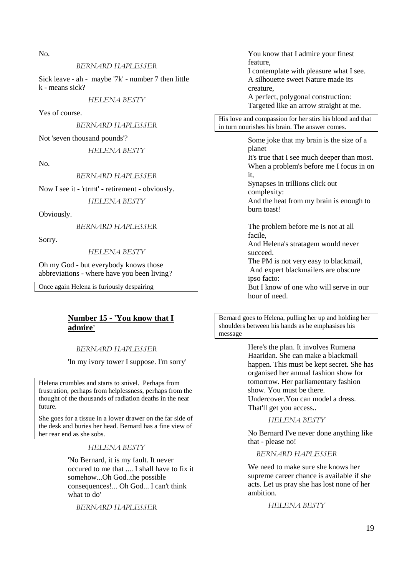No.

#### *BERNARD HAPLESSER*

Sick leave - ah - maybe '7k' - number 7 then little k - means sick?

*HELENA BESTY* 

Yes of course.

*BERNARD HAPLESSER* 

Not 'seven thousand pounds'?

*HELENA BESTY* 

No.

#### *BERNARD HAPLESSER*

Now I see it - 'rtrmt' - retirement - obviously.

*HELENA BESTY* 

Obviously.

*BERNARD HAPLESSER* 

Sorry.

#### *HELENA BESTY*

Oh my God - but everybody knows those abbreviations - where have you been living?

Once again Helena is furiously despairing

## **Number 15 - 'You know that I admire'**

#### *BERNARD HAPLESSER*

'In my ivory tower I suppose. I'm sorry'

Helena crumbles and starts to snivel. Perhaps from frustration, perhaps from helplessness, perhaps from the thought of the thousands of radiation deaths in the near future.

She goes for a tissue in a lower drawer on the far side of the desk and buries her head. Bernard has a fine view of her rear end as she sobs.

*HELENA BESTY* 

'No Bernard, it is my fault. It never occured to me that .... I shall have to fix it somehow...Oh God..the possible consequences!... Oh God... I can't think what to do'

*BERNARD HAPLESSER* 

You know that I admire your finest feature, I contemplate with pleasure what I see.

A silhouette sweet Nature made its creature,

A perfect, polygonal construction: Targeted like an arrow straight at me.

His love and compassion for her stirs his blood and that in turn nourishes his brain. The answer comes.

> Some joke that my brain is the size of a planet

It's true that I see much deeper than most. When a problem's before me I focus in on it,

Synapses in trillions click out complexity:

And the heat from my brain is enough to burn toast!

The problem before me is not at all facile,

And Helena's stratagem would never succeed.

The PM is not very easy to blackmail, And expert blackmailers are obscure ipso facto:

But I know of one who will serve in our hour of need.

Bernard goes to Helena, pulling her up and holding her shoulders between his hands as he emphasises his message

> Here's the plan. It involves Rumena Haaridan. She can make a blackmail happen. This must be kept secret. She has organised her annual fashion show for tomorrow. Her parliamentary fashion show. You must be there. Undercover.You can model a dress.

That'll get you access..

*HELENA BESTY* 

No Bernard I've never done anything like that - please no!

*BERNARD HAPLESSER* 

We need to make sure she knows her supreme career chance is available if she acts. Let us pray she has lost none of her ambition.

*HELENA BESTY*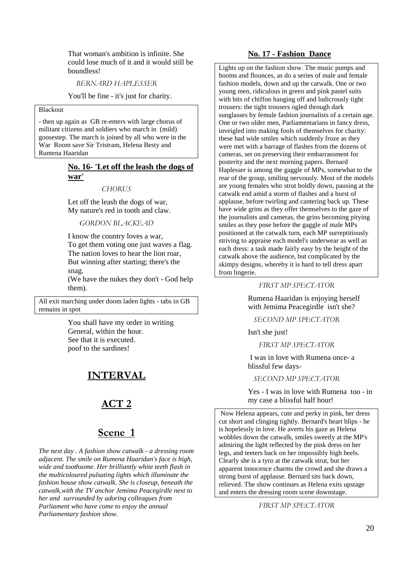That woman's ambition is infinite. She could lose much of it and it would still be boundless!

*BERNARD HAPLESSER* 

You'll be fine - it's just for charity.

#### Blackout

- then up again as GB re-enters with large chorus of militant citizens and soldiers who march in (mild) goosestep. The march is joined by all who were in the War Room save Sir Tristram, Helena Besty and Rumena Haaridan

#### **No. 16- 'Let off the leash the dogs of war'**

*CHORUS* 

Let off the leash the dogs of war, My nature's red in tooth and claw.

*GORDON BLACKEAD* 

I know the country loves a war, To get them voting one just waves a flag. The nation loves to hear the lion roar, But winning after starting; there's the snag.

(We have the nukes they don't - God help them).

All exit marching under doom laden lights - tabs in GB remains in spot

> You shall have my order in writing General, within the hour. See that it is executed. poof to the sardines!

## **INTERVAL**

## **ACT 2**

## **Scene 1**

*The next day . A fashion show catwalk - a dressing room adjacent. The smile on Rumena Haaridan's face is high, wide and toothsome. Her brilliantly white teeth flash in the multicoloured pulsating lights which illuminate the fashion house show catwalk. She is closeup, beneath the catwalk,with the TV anchor Jemima Peacegirdle next to her and surrounded by adoring colleagues from Parliament who have come to enjoy the annual Parliamentary fashion show.* 

#### **No. 17 - Fashion Dance**

Lights up on the fashion show. The music pumps and booms and flounces, as do a series of male and female fashion models, down and up the catwalk. One or two young men, ridiculous in green and pink pastel suits with bits of chiffon hanging off and ludicrously tight trousers: the tight trousers ogled through dark sunglasses by female fashion journalists of a certain age. One or two older men, Parliamentarians in fancy dress, inveigled into making fools of themselves for charity: these had wide smiles which suddenly froze as they were met with a barrage of flashes from the dozens of cameras, set on preserving their embarrassment for posterity and the next morning papers. Bernard Haplesser is among the gaggle of MPs, somewhat to the rear of the group, smiling nervously. Most of the models are young females who strut boldly down, pausing at the catwalk end amid a storm of flashes and a burst of applause, before twirling and cantering back up. These have wide grins as they offer themselves to the gaze of the journalists and cameras, the grins becoming pitying smiles as they pose before the gaggle of male MPs positioned at the catwalk turn, each MP surreptitiously striving to appraise each model's underwear as well as each dress: a task made fairly easy by the height of the catwalk above the audience, but complicated by the skimpy designs, whereby it is hard to tell dress apart from lingerie.

#### *FIRST MP SPECTATOR*

Rumena Haaridan is enjoying herself with Jemima Peacegirdle isn't she?

*SECOND MP SPECTATOR* 

Isn't she just!

*FIRST MP SPECTATOR* 

I was in love with Rumena once- a blissful few days-

#### *SECOND MP SPECTATOR*

Yes - I was in love with Rumena too - in my case a blissful half hour!

 Now Helena appears, cute and perky in pink, her dress cut short and clinging tightly. Bernard's heart blips - he is hopelessly in love. He averts his gaze as Helena wobbles down the catwalk, smiles sweetly at the MP's admiring the light reflected by the pink dress on her legs, and teeters back on her impossibly high heels. Clearly she is a tyro at the catwalk strut, but her apparent innocence charms the crowd and she draws a strong burst of applause. Bernard sits back down, relieved. The show continues as Helena exits upstage and enters the dressing room scene downstage.

*FIRST MP SPECTATOR*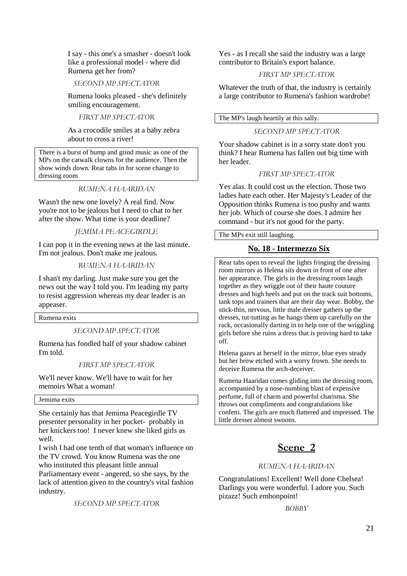I say - this one's a smasher - doesn't look like a professional model - where did Rumena get her from?

*SECOND MP SPECTATOR* 

Rumena looks pleased - she's definitely smiling encouragement.

*FIRST MP SPECTATOR* 

As a crocodile smiles at a baby zebra about to cross a river!

There is a burst of bump and grind music as one of the MPs on the catwalk clowns for the audience. Then the show winds down. Rear tabs in for scene change to dressing room

#### *RUMENA HAARIDAN*

Wasn't the new one lovely? A real find. Now you're not to be jealous but I need to chat to her after the show. What time is your deadline?

#### *JEMIMA PEACEGIRDLE*

I can pop it in the evening news at the last minute. I'm not jealous. Don't make me jealous.

#### *RUMENA HAARIDAN*

I shan't my darling. Just make sure you get the news out the way I told you. I'm leading my party to resist aggression whereas my dear leader is an appeaser.

Rumena exits

#### *SECOND MP SPECTATOR*

Rumena has fondled half of your shadow cabinet I'm told.

#### *FIRST MP SPECTATOR*

We'll never know. We'll have to wait for her memoirs What a woman!

#### Jemima exits

She certainly has that Jemima Peacegirdle TV presenter personality in her pocket- probably in her knickers too! I never knew she liked girls as well.

I wish I had one tenth of that woman's influence on the TV crowd. You know Rumena was the one who instituted this pleasant little annual Parliamentary event - angered, so she says, by the lack of attention given to the country's vital fashion industry.

*SECOND MP SPECTATOR* 

Yes - as I recall she said the industry was a large contributor to Britain's export balance.

#### *FIRST MP SPECTATOR*

Whatever the truth of that, the industry is certainly a large contributor to Rumena's fashion wardrobe!

#### The MP's laugh heartily at this sally.

#### *SECOND MP SPECTATOR*

Your shadow cabinet is in a sorry state don't you think? I hear Rumena has fallen out big time with her leader.

#### *FIRST MP SPECTATOR*

Yes alas. It could cost us the election. Those two ladies hate each other. Her Majesty's Leader of the Opposition thinks Rumena is too pushy and wants her job. Which of course she does. I admire her command - but it's not good for the party.

The MPs exit still laughing.

#### **No. 18 - Intermezzo Six**

Rear tabs open to reveal the lights fringing the dressing room mirrors as Helena sits down in front of one after her appearance. The girls in the dressing room laugh together as they wriggle out of their haute couture dresses and high heels and put on the track suit bottoms, tank tops and trainers that are their day wear. Bobby, the stick-thin, nervous, little male dresser gathers up the dresses, tut-tutting as he hangs them up carefully on the rack, occasionally darting in to help one of the wriggling girls before she ruins a dress that is proving hard to take off.

Helena gazes at herself in the mirror, blue eyes steady but her brow etched with a worry frown. She needs to deceive Rumena the arch-deceiver.

Rumena Haaridan comes gliding into the dressing room, accompanied by a nose-numbing blast of expensive perfume, full of charm and powerful charisma. She throws out compliments and congratulations like confetti. The girls are much flattered and impressed. The little dresser almost swoons.

## **Scene 2**

#### *RUMENA HAARIDAN*

Congratulations! Excellent! Well done Chelsea! Darlings you were wonderful. I adore you. Such pizazz! Such embonpoint!

*BOBBY*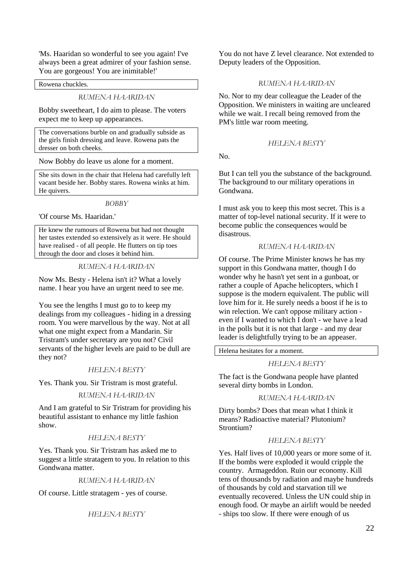'Ms. Haaridan so wonderful to see you again! I've always been a great admirer of your fashion sense. You are gorgeous! You are inimitable!'

Rowena chuckles.

#### *RUMENA HAARIDAN*

Bobby sweetheart, I do aim to please. The voters expect me to keep up appearances.

The conversations burble on and gradually subside as the girls finish dressing and leave. Rowena pats the dresser on both cheeks.

Now Bobby do leave us alone for a moment.

She sits down in the chair that Helena had carefully left vacant beside her. Bobby stares. Rowena winks at him. He quivers.

#### *BOBBY*

'Of course Ms. Haaridan.'

He knew the rumours of Rowena but had not thought her tastes extended so extensively as it were. He should have realised - of all people. He flutters on tip toes through the door and closes it behind him.

#### *RUMENA HAARIDAN*

Now Ms. Besty - Helena isn't it? What a lovely name. I hear you have an urgent need to see me.

You see the lengths I must go to to keep my dealings from my colleagues - hiding in a dressing room. You were marvellous by the way. Not at all what one might expect from a Mandarin. Sir Tristram's under secretary are you not? Civil servants of the higher levels are paid to be dull are they not?

#### *HELENA BESTY*

Yes. Thank you. Sir Tristram is most grateful.

#### *RUMENA HAARIDAN*

And I am grateful to Sir Tristram for providing his beautiful assistant to enhance my little fashion show.

#### *HELENA BESTY*

Yes. Thank you. Sir Tristram has asked me to suggest a little stratagem to you. In relation to this Gondwana matter.

#### *RUMENA HAARIDAN*

Of course. Little stratagem - yes of course.

*HELENA BESTY* 

You do not have Z level clearance. Not extended to Deputy leaders of the Opposition.

#### *RUMENA HAARIDAN*

No. Nor to my dear colleague the Leader of the Opposition. We ministers in waiting are uncleared while we wait. I recall being removed from the PM's little war room meeting.

#### *HELENA BESTY*

 $N<sub>0</sub>$ 

But I can tell you the substance of the background. The background to our military operations in Gondwana.

I must ask you to keep this most secret. This is a matter of top-level national security. If it were to become public the consequences would be disastrous.

#### *RUMENA HAARIDAN*

Of course. The Prime Minister knows he has my support in this Gondwana matter, though I do wonder why he hasn't yet sent in a gunboat, or rather a couple of Apache helicopters, which I suppose is the modern equivalent. The public will love him for it. He surely needs a boost if he is to win relection. We can't oppose military action even if I wanted to which I don't - we have a lead in the polls but it is not that large - and my dear leader is delightfully trying to be an appeaser.

Helena hesitates for a moment.

#### *HELENA BESTY*

The fact is the Gondwana people have planted several dirty bombs in London.

#### *RUMENA HAARIDAN*

Dirty bombs? Does that mean what I think it means? Radioactive material? Plutonium? Strontium?

#### *HELENA BESTY*

Yes. Half lives of 10,000 years or more some of it. If the bombs were exploded it would cripple the country. Armageddon. Ruin our economy. Kill tens of thousands by radiation and maybe hundreds of thousands by cold and starvation till we eventually recovered. Unless the UN could ship in enough food. Or maybe an airlift would be needed - ships too slow. If there were enough of us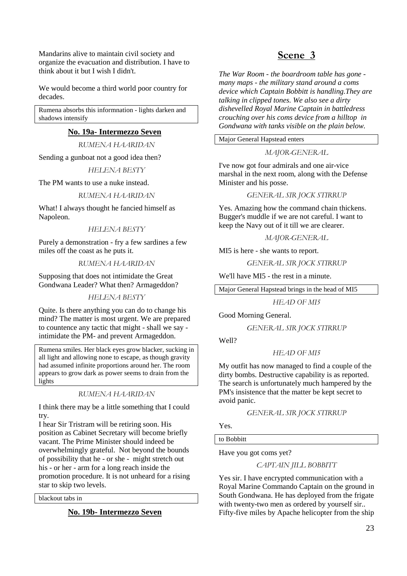Mandarins alive to maintain civil society and organize the evacuation and distribution. I have to think about it but I wish I didn't.

We would become a third world poor country for decades.

Rumena absorbs this informnation - lights darken and shadows intensify

#### **No. 19a- Intermezzo Seven**

*RUMENA HAARIDAN* 

Sending a gunboat not a good idea then?

*HELENA BESTY* 

The PM wants to use a nuke instead.

#### *RUMENA HAARIDAN*

What! I always thought he fancied himself as Napoleon.

#### *HELENA BESTY*

Purely a demonstration - fry a few sardines a few miles off the coast as he puts it.

#### *RUMENA HAARIDAN*

Supposing that does not intimidate the Great Gondwana Leader? What then? Armageddon?

*HELENA BESTY* 

Quite. Is there anything you can do to change his mind? The matter is most urgent. We are prepared to countence any tactic that might - shall we say intimidate the PM- and prevent Armageddon.

Rumena smiles. Her black eyes grow blacker, sucking in all light and allowing none to escape, as though gravity had assumed infinite proportions around her. The room appears to grow dark as power seems to drain from the lights

#### *RUMENA HAARIDAN*

I think there may be a little something that I could try.

I hear Sir Tristram will be retiring soon. His position as Cabinet Secretary will become briefly vacant. The Prime Minister should indeed be overwhelmingly grateful. Not beyond the bounds of possibility that he - or she - might stretch out his - or her - arm for a long reach inside the promotion procedure. It is not unheard for a rising star to skip two levels.

blackout tabs in

#### **No. 19b- Intermezzo Seven**

## **Scene 3**

*The War Room - the boardroom table has gone many maps - the military stand around a coms device which Captain Bobbitt is handling.They are talking in clipped tones. We also see a dirty dishevelled Royal Marine Captain in battledress crouching over his coms device from a hilltop in Gondwana with tanks visible on the plain below.* 

Major General Hapstead enters

#### *MAJOR-GENERAL*

I've now got four admirals and one air-vice marshal in the next room, along with the Defense Minister and his posse.

#### *GENERAL SIR JOCK STIRRUP*

Yes. Amazing how the command chain thickens. Bugger's muddle if we are not careful. I want to keep the Navy out of it till we are clearer.

#### *MAJOR-GENERAL*

MI5 is here - she wants to report.

*GENERAL SIR JOCK STIRRUP* 

We'll have MI5 - the rest in a minute.

Major General Hapstead brings in the head of MI5

*HEAD OF MI5* 

Good Morning General.

*GENERAL SIR JOCK STIRRUP* 

Well?

#### *HEAD OF MI5*

My outfit has now managed to find a couple of the dirty bombs. Destructive capability is as reported. The search is unfortunately much hampered by the PM's insistence that the matter be kept secret to avoid panic.

*GENERAL SIR JOCK STIRRUP* 

Yes.

to Bobbitt

Have you got coms yet?

#### *CAPTAIN JILL BOBBITT*

Yes sir. I have encrypted communication with a Royal Marine Commando Captain on the ground in South Gondwana. He has deployed from the frigate with twenty-two men as ordered by yourself sir.. Fifty-five miles by Apache helicopter from the ship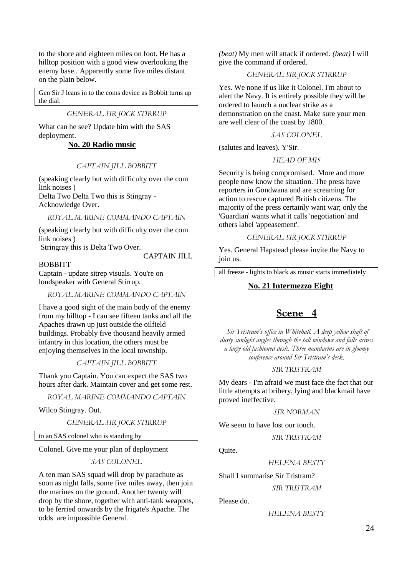to the shore and eighteen miles on foot. He has a hilltop position with a good view overlooking the enemy base.. Apparently some five miles distant on the plain below.

Gen Sir J leans in to the coms device as Bobbit turns up the dial.

*GENERAL SIR JOCK STIRRUP* 

What can he see? Update him with the SAS deployment.

#### **No. 20 Radio music**

#### *CAPTAIN JILL BOBBITT*

(speaking clearly but with difficulty over the com link noises )

Delta Two Delta Two this is Stingray - Acknowledge Over.

*ROYAL MARINE COMMANDO CAPTAIN* 

(speaking clearly but with difficulty over the com link noises )

Stringray this is Delta Two Over.

CAPTAIN JILL

**BOBBITT** 

Captain - update sitrep visuals. You're on loudspeaker with General Stirrup.

*ROYAL MARINE COMMANDO CAPTAIN* 

I have a good sight of the main body of the enemy from my hilltop - I can see fifteen tanks and all the Apaches drawn up just outside the oilfield buildings. Probably five thousand heavily armed infantry in this location, the others must be enjoying themselves in the local township.

*CAPTAIN JILL BOBBITT* 

Thank you Captain. You can expect the SAS two hours after dark. Maintain cover and get some rest.

*ROYAL MARINE COMMANDO CAPTAIN* 

Wilco Stingray. Out.

*GENERAL SIR JOCK STIRRUP* 

to an SAS colonel who is standing by

Colonel. Give me your plan of deployment

*SAS COLONEL* 

A ten man SAS squad will drop by parachute as soon as night falls, some five miles away, then join the marines on the ground. Another twenty will drop by the shore, together with anti-tank weapons, to be ferried onwards by the frigate's Apache. The odds are impossible General.

*(beat)* My men will attack if ordered. *(beat)* I will give the command if ordered.

*GENERAL SIR JOCK STIRRUP* 

Yes. We none if us like it Colonel. I'm about to alert the Navy. It is entirely possible they will be ordered to launch a nuclear strike as a demonstration on the coast. Make sure your men are well clear of the coast by 1800.

#### *SAS COLONEL*

(salutes and leaves). Y'Sir.

#### *HEAD OF MI5*

Security is being compromised. More and more people now know the situation. The press have reporters in Gondwana and are screaming for action to rescue captured British citizens. The majority of the press certainly want war; only the 'Guardian' wants what it calls 'negotiation' and others label 'appeasement'.

#### *GENERAL SIR JOCK STIRRUP*

Yes. General Hapstead please invite the Navy to join us.

all freeze - lights to black as music starts immediately

#### **No. 21 Intermezzo Eight**

## **Scene 4**

 *Sir Tristram's office in Whitehall. A deep yellow shaft of dusty sunlight angles through the tall windows and falls across a large old fashioned desk. Three mandarins are in gloomy conference around Sir Tristram's desk.* 

#### *SIR TRISTRAM*

My dears - I'm afraid we must face the fact that our little attempts at bribery, lying and blackmail have proved ineffective.

#### *SIR NORMAN*

We seem to have lost our touch.

*SIR TRISTRAM* 

Quite.

*HELENA BESTY* 

Shall I summarise Sir Tristram?

*SIR TRISTRAM* 

#### Please do.

*HELENA BESTY*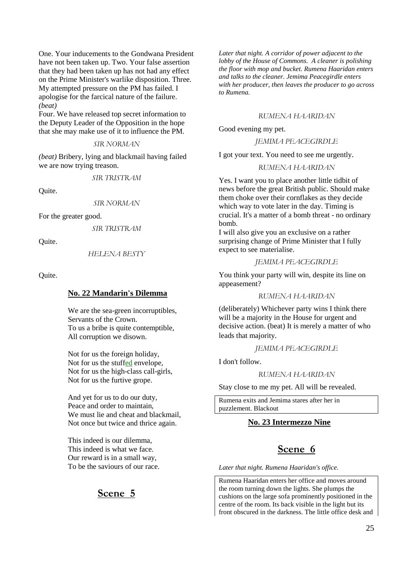One. Your inducements to the Gondwana President have not been taken up. Two. Your false assertion that they had been taken up has not had any effect on the Prime Minister's warlike disposition. Three. My attempted pressure on the PM has failed. I apologise for the farcical nature of the failure. *(beat)*

Four. We have released top secret information to the Deputy Leader of the Opposition in the hope that she may make use of it to influence the PM.

#### *SIR NORMAN*

*(beat)* Bribery, lying and blackmail having failed we are now trying treason.

*SIR TRISTRAM* 

Quite.

*SIR NORMAN* 

For the greater good.

*SIR TRISTRAM* 

Quite.

*HELENA BESTY* 

Quite.

## **No. 22 Mandarin's Dilemma**

We are the sea-green incorruptibles, Servants of the Crown. To us a bribe is quite contemptible, All corruption we disown.

Not for us the foreign holiday, Not for us the stuffed envelope, Not for us the high-class call-girls, Not for us the furtive grope.

And yet for us to do our duty, Peace and order to maintain, We must lie and cheat and blackmail, Not once but twice and thrice again.

This indeed is our dilemma, This indeed is what we face. Our reward is in a small way, To be the saviours of our race.

## **Scene 5**

*Later that night. A corridor of power adjacent to the lobby of the House of Commons. A cleaner is polishing the floor with mop and bucket. Rumena Haaridan enters and talks to the cleaner. Jemima Peacegirdle enters with her producer, then leaves the producer to go across to Rumena.* 

#### *RUMENA HAARIDAN*

Good evening my pet.

*JEMIMA PEACEGIRDLE* 

I got your text. You need to see me urgently.

*RUMENA HAARIDAN* 

Yes. I want you to place another little tidbit of news before the great British public. Should make them choke over their cornflakes as they decide which way to vote later in the day. Timing is crucial. It's a matter of a bomb threat - no ordinary bomb.

I will also give you an exclusive on a rather surprising change of Prime Minister that I fully expect to see materialise.

*JEMIMA PEACEGIRDLE* 

You think your party will win, despite its line on appeasement?

#### *RUMENA HAARIDAN*

(deliberately) Whichever party wins I think there will be a majority in the House for urgent and decisive action. (beat) It is merely a matter of who leads that majority.

#### *JEMIMA PEACEGIRDLE*

I don't follow.

#### *RUMENA HAARIDAN*

Stay close to me my pet. All will be revealed.

Rumena exits and Jemima stares after her in puzzlement. Blackout

#### **No. 23 Intermezzo Nine**

## **Scene 6**

*Later that night. Rumena Haaridan's office.*

Rumena Haaridan enters her office and moves around the room turning down the lights. She plumps the cushions on the large sofa prominently positioned in the centre of the room. Its back visible in the light but its front obscured in the darkness. The little office desk and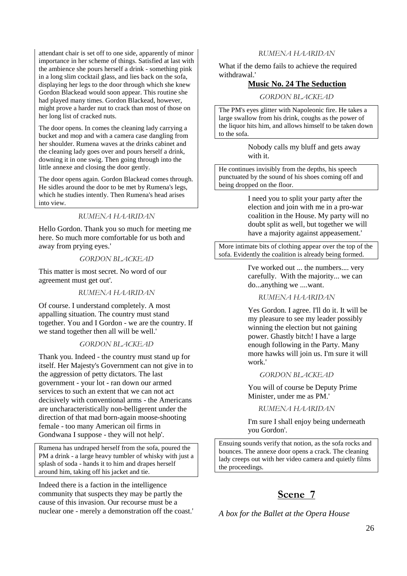attendant chair is set off to one side, apparently of minor importance in her scheme of things. Satisfied at last with the ambience she pours herself a drink - something pink in a long slim cocktail glass, and lies back on the sofa, displaying her legs to the door through which she knew Gordon Blackead would soon appear. This routine she had played many times. Gordon Blackead, however, might prove a harder nut to crack than most of those on her long list of cracked nuts.

The door opens. In comes the cleaning lady carrying a bucket and mop and with a camera case dangling from her shoulder. Rumena waves at the drinks cabinet and the cleaning lady goes over and pours herself a drink, downing it in one swig. Then going through into the little annexe and closing the door gently.

The door opens again. Gordon Blackead comes through. He sidles around the door to be met by Rumena's legs, which he studies intently. Then Rumena's head arises into view.

#### *RUMENA HAARIDAN*

Hello Gordon. Thank you so much for meeting me here. So much more comfortable for us both and away from prying eyes.'

#### *GORDON BLACKEAD*

This matter is most secret. No word of our agreement must get out'.

#### *RUMENA HAARIDAN*

Of course. I understand completely. A most appalling situation. The country must stand together. You and I Gordon - we are the country. If we stand together then all will be well.'

#### *GORDON BLACKEAD*

Thank you. Indeed - the country must stand up for itself. Her Majesty's Government can not give in to the aggression of petty dictators. The last government - your lot - ran down our armed services to such an extent that we can not act decisively with conventional arms - the Americans are uncharacteristically non-belligerent under the direction of that mad born-again moose-shooting female - too many American oil firms in Gondwana I suppose - they will not help'.

Rumena has undraped herself from the sofa, poured the PM a drink - a large heavy tumbler of whisky with just a splash of soda - hands it to him and drapes herself around him, taking off his jacket and tie.

Indeed there is a faction in the intelligence community that suspects they may be partly the cause of this invasion. Our recourse must be a nuclear one - merely a demonstration off the coast.'

#### *RUMENA HAARIDAN*

What if the demo fails to achieve the required withdrawal.'

#### **Music No. 24 The Seduction**

*GORDON BLACKEAD* 

The PM's eyes glitter with Napoleonic fire. He takes a large swallow from his drink, coughs as the power of the liquor hits him, and allows himself to be taken down to the sofa.

> Nobody calls my bluff and gets away with it.

He continues invisibly from the depths, his speech punctuated by the sound of his shoes coming off and being dropped on the floor.

> I need you to split your party after the election and join with me in a pro-war coalition in the House. My party will no doubt split as well, but together we will have a majority against appeasement.'

More intimate bits of clothing appear over the top of the sofa. Evidently the coalition is already being formed.

> I've worked out ... the numbers.... very carefully. With the majority... we can do...anything we ....want.

#### *RUMENA HAARIDAN*

Yes Gordon. I agree. I'll do it. It will be my pleasure to see my leader possibly winning the election but not gaining power. Ghastly bitch! I have a large enough following in the Party. Many more hawks will join us. I'm sure it will work.'

#### *GORDON BLACKEAD*

You will of course be Deputy Prime Minister, under me as PM.'

*RUMENA HAARIDAN* 

I'm sure I shall enjoy being underneath you Gordon'.

Ensuing sounds verify that notion, as the sofa rocks and bounces. The annexe door opens a crack. The cleaning lady creeps out with her video camera and quietly films the proceedings.

## **Scene 7**

*A box for the Ballet at the Opera House*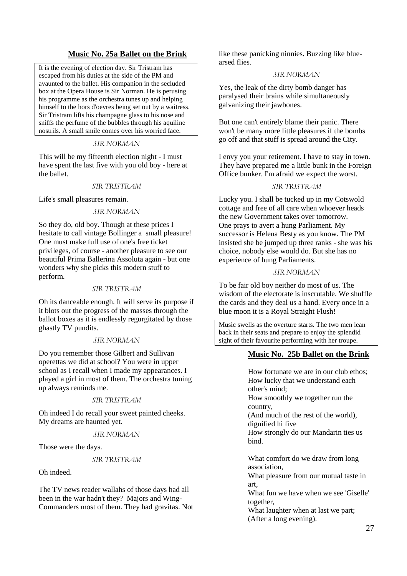## **Music No. 25a Ballet on the Brink**

It is the evening of election day. Sir Tristram has escaped from his duties at the side of the PM and avaunted to the ballet. His companion in the secluded box at the Opera House is Sir Norman. He is perusing his programme as the orchestra tunes up and helping himself to the hors d'oevres being set out by a waitress. Sir Tristram lifts his champagne glass to his nose and sniffs the perfume of the bubbles through his aquiline nostrils. A small smile comes over his worried face.

#### *SIR NORMAN*

This will be my fifteenth election night - I must have spent the last five with you old boy - here at the ballet.

#### *SIR TRISTRAM*

Life's small pleasures remain.

#### *SIR NORMAN*

So they do, old boy. Though at these prices I hesitate to call vintage Bollinger a small pleasure! One must make full use of one's free ticket privileges, of course - another pleasure to see our beautiful Prima Ballerina Assoluta again - but one wonders why she picks this modern stuff to perform.

#### *SIR TRISTRAM*

Oh its danceable enough. It will serve its purpose if it blots out the progress of the masses through the ballot boxes as it is endlessly regurgitated by those ghastly TV pundits.

#### *SIR NORMAN*

Do you remember those Gilbert and Sullivan operettas we did at school? You were in upper school as I recall when I made my appearances. I played a girl in most of them. The orchestra tuning up always reminds me.

#### *SIR TRISTRAM*

Oh indeed I do recall your sweet painted cheeks. My dreams are haunted yet.

#### *SIR NORMAN*

Those were the days.

#### *SIR TRISTRAM*

Oh indeed.

The TV news reader wallahs of those days had all been in the war hadn't they? Majors and Wing-Commanders most of them. They had gravitas. Not like these panicking ninnies. Buzzing like bluearsed flies.

#### *SIR NORMAN*

Yes, the leak of the dirty bomb danger has paralysed their brains while simultaneously galvanizing their jawbones.

But one can't entirely blame their panic. There won't be many more little pleasures if the bombs go off and that stuff is spread around the City.

I envy you your retirement. I have to stay in town. They have prepared me a little bunk in the Foreign Office bunker. I'm afraid we expect the worst.

#### *SIR TRISTRAM*

Lucky you. I shall be tucked up in my Cotswold cottage and free of all care when whoever heads the new Government takes over tomorrow. One prays to avert a hung Parliament. My successor is Helena Besty as you know. The PM insisted she be jumped up three ranks - she was his choice, nobody else would do. But she has no experience of hung Parliaments.

#### *SIR NORMAN*

To be fair old boy neither do most of us. The wisdom of the electorate is inscrutable. We shuffle the cards and they deal us a hand. Every once in a blue moon it is a Royal Straight Flush!

Music swells as the overture starts. The two men lean back in their seats and prepare to enjoy the splendid sight of their favourite performing with her troupe.

#### **Music No. 25b Ballet on the Brink**

How fortunate we are in our club ethos; How lucky that we understand each other's mind; How smoothly we together run the country, (And much of the rest of the world), dignified hi five How strongly do our Mandarin ties us bind. What comfort do we draw from long association, What pleasure from our mutual taste in

art,

What fun we have when we see 'Giselle' together,

What laughter when at last we part; (After a long evening).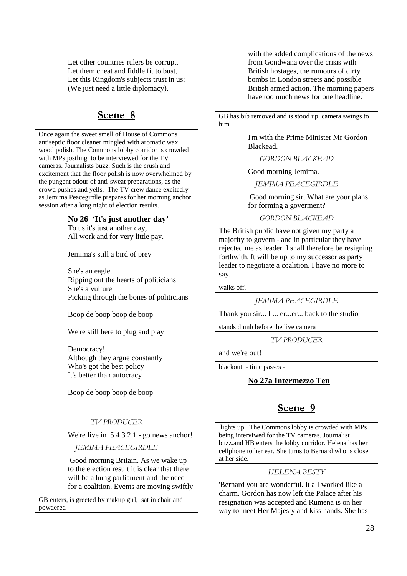Let other countries rulers be corrupt, Let them cheat and fiddle fit to bust, Let this Kingdom's subjects trust in us; (We just need a little diplomacy).

## **Scene 8**

Once again the sweet smell of House of Commons antiseptic floor cleaner mingled with aromatic wax wood polish. The Commons lobby corridor is crowded with MPs jostling to be interviewed for the TV cameras. Journalists buzz. Such is the crush and excitement that the floor polish is now overwhelmed by the pungent odour of anti-sweat preparations, as the crowd pushes and yells. The TV crew dance excitedly as Jemima Peacegirdle prepares for her morning anchor session after a long night of election results.

#### **No 26 'It's just another day'**

To us it's just another day, All work and for very little pay.

Jemima's still a bird of prey

She's an eagle. Ripping out the hearts of politicians She's a vulture Picking through the bones of politicians

Boop de boop boop de boop

We're still here to plug and play

Democracy! Although they argue constantly Who's got the best policy It's better than autocracy

Boop de boop boop de boop

#### *TV PRODUCER*

We're live in 54321 - go news anchor!

*JEMIMA PEACEGIRDLE*

Good morning Britain. As we wake up to the election result it is clear that there will be a hung parliament and the need for a coalition. Events are moving swiftly

GB enters, is greeted by makup girl, sat in chair and powdered

with the added complications of the news from Gondwana over the crisis with British hostages, the rumours of dirty bombs in London streets and possible British armed action. The morning papers have too much news for one headline.

GB has bib removed and is stood up, camera swings to him

> I'm with the Prime Minister Mr Gordon Blackead.

*GORDON BLACKEAD* 

Good morning Jemima.

*JEMIMA PEACEGIRDLE*

 Good morning sir. What are your plans for forming a goverment?

*GORDON BLACKEAD* 

The British public have not given my party a majority to govern - and in particular they have rejected me as leader. I shall therefore be resigning forthwith. It will be up to my successor as party leader to negotiate a coalition. I have no more to say.

walks off.

*JEMIMA PEACEGIRDLE*

Thank you sir... I ... er...er... back to the studio

stands dumb before the live camera

*TV PRODUCER* 

and we're out!

blackout - time passes -

#### **No 27a Intermezzo Ten**

## **Scene 9**

 lights up . The Commons lobby is crowded with MPs being interviwed for the TV cameras. Journalist buzz.and HB enters the lobby corridor. Helena has her cellphone to her ear. She turns to Bernard who is close at her side.

#### *HELENA BESTY*

'Bernard you are wonderful. It all worked like a charm. Gordon has now left the Palace after his resignation was accepted and Rumena is on her way to meet Her Majesty and kiss hands. She has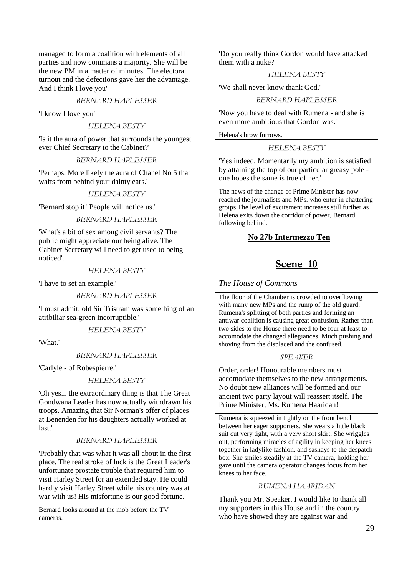managed to form a coalition with elements of all parties and now commans a majority. She will be the new PM in a matter of minutes. The electoral turnout and the defections gave her the advantage. And I think I love you'

#### *BERNARD HAPLESSER*

'I know I love you'

#### *HELENA BESTY*

'Is it the aura of power that surrounds the youngest ever Chief Secretary to the Cabinet?'

#### *BERNARD HAPLESSER*

'Perhaps. More likely the aura of Chanel No 5 that wafts from behind your dainty ears.'

#### *HELENA BESTY*

'Bernard stop it! People will notice us.'

#### *BERNARD HAPLESSER*

'What's a bit of sex among civil servants? The public might appreciate our being alive. The Cabinet Secretary will need to get used to being noticed'.

#### *HELENA BESTY*

'I have to set an example.'

*BERNARD HAPLESSER* 

'I must admit, old Sir Tristram was something of an atribiliar sea-green incorruptible.'

#### *HELENA BESTY*

'What.'

#### *BERNARD HAPLESSER*

'Carlyle - of Robespierre.'

#### *HELENA BESTY*

'Oh yes... the extraordinary thing is that The Great Gondwana Leader has now actually withdrawn his troops. Amazing that Sir Norman's offer of places at Benenden for his daughters actually worked at last.'

#### *BERNARD HAPLESSER*

'Probably that was what it was all about in the first place. The real stroke of luck is the Great Leader's unfortunate prostate trouble that required him to visit Harley Street for an extended stay. He could hardly visit Harley Street while his country was at war with us! His misfortune is our good fortune.

Bernard looks around at the mob before the TV cameras.

'Do you really think Gordon would have attacked them with a nuke?'

#### *HELENA BESTY*

'We shall never know thank God.'

#### *BERNARD HAPLESSER*

'Now you have to deal with Rumena - and she is even more ambitious that Gordon was.'

Helena's brow furrows.

#### *HELENA BESTY*

'Yes indeed. Momentarily my ambition is satisfied by attaining the top of our particular greasy pole one hopes the same is true of her.'

The news of the change of Prime Minister has now reached the journalists and MPs. who enter in chattering groips The level of excitement increases still further as Helena exits down the corridor of power, Bernard following behind.

#### **No 27b Intermezzo Ten**

## **Scene 10**

#### *The House of Commons*

The floor of the Chamber is crowded to overflowing with many new MPs and the rump of the old guard. Rumena's splitting of both parties and forming an antiwar coalition is causing great confusion. Rather than two sides to the House there need to be four at least to accomodate the changed allegiances. Much pushing and shoving from the displaced and the confused.

#### *SPEAKER*

Order, order! Honourable members must accomodate themselves to the new arrangements. No doubt new alliances will be formed and our ancient two party layout will reassert itself. The Prime Minister, Ms. Rumena Haaridan!

Rumena is squeezed in tightly on the front bench between her eager supporters. She wears a little black suit cut very tight, with a very short skirt. She wriggles out, performing miracles of agility in keeping her knees together in ladylike fashion, and sashays to the despatch box. She smiles steadily at the TV camera, holding her gaze until the camera operator changes focus from her knees to her face.

#### *RUMENA HAARIDAN*

Thank you Mr. Speaker. I would like to thank all my supporters in this House and in the country who have showed they are against war and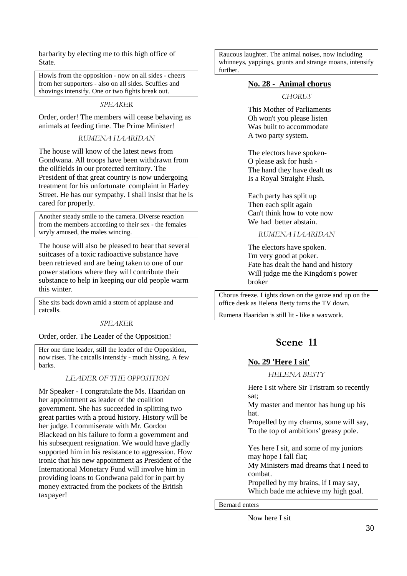barbarity by electing me to this high office of State.

Howls from the opposition - now on all sides - cheers from her supporters - also on all sides. Scuffles and shovings intensify. One or two fights break out.

*SPEAKER* 

Order, order! The members will cease behaving as animals at feeding time. The Prime Minister!

#### *RUMENA HAARIDAN*

The house will know of the latest news from Gondwana. All troops have been withdrawn from the oilfields in our protected territory. The President of that great country is now undergoing treatment for his unfortunate complaint in Harley Street. He has our sympathy. I shall insist that he is cared for properly.

Another steady smile to the camera. Diverse reaction from the members according to their sex - the females wryly amused, the males wincing.

The house will also be pleased to hear that several suitcases of a toxic radioactive substance have been retrieved and are being taken to one of our power stations where they will contribute their substance to help in keeping our old people warm this winter.

She sits back down amid a storm of applause and catcalls.

#### *SPEAKER*

Order, order. The Leader of the Opposition!

Her one time leader, still the leader of the Opposition, now rises. The catcalls intensify - much hissing. A few barks.

#### *LEADER OF THE OPPOSITION*

Mr Speaker - I congratulate the Ms. Haaridan on her appointment as leader of the coalition government. She has succeeded in splitting two great parties with a proud history. History will be her judge. I commiserate with Mr. Gordon Blackead on his failure to form a government and his subsequent resignation. We would have gladly supported him in his resistance to aggression. How ironic that his new appointment as President of the International Monetary Fund will involve him in providing loans to Gondwana paid for in part by money extracted from the pockets of the British taxpayer!

Raucous laughter. The animal noises, now including whinneys, yappings, grunts and strange moans, intensify further.

#### **No. 28 - Animal chorus**

*CHORUS* 

This Mother of Parliaments Oh won't you please listen Was built to accommodate A two party system.

The electors have spoken-O please ask for hush - The hand they have dealt us Is a Royal Straight Flush.

Each party has split up Then each split again Can't think how to vote now We had better abstain.

*RUMENA HAARIDAN* 

The electors have spoken. I'm very good at poker. Fate has dealt the hand and history Will judge me the Kingdom's power broker

Chorus freeze. Lights down on the gauze and up on the office desk as Helena Besty turns the TV down.

Rumena Haaridan is still lit - like a waxwork.

## **Scene 11**

#### **No. 29 'Here I sit'**

*HELENA BESTY* 

Here I sit where Sir Tristram so recently sat;

My master and mentor has hung up his hat.

Propelled by my charms, some will say, To the top of ambitions' greasy pole.

Yes here I sit, and some of my juniors may hope I fall flat;

My Ministers mad dreams that I need to combat.

Propelled by my brains, if I may say, Which bade me achieve my high goal.

Bernard enters

Now here I sit